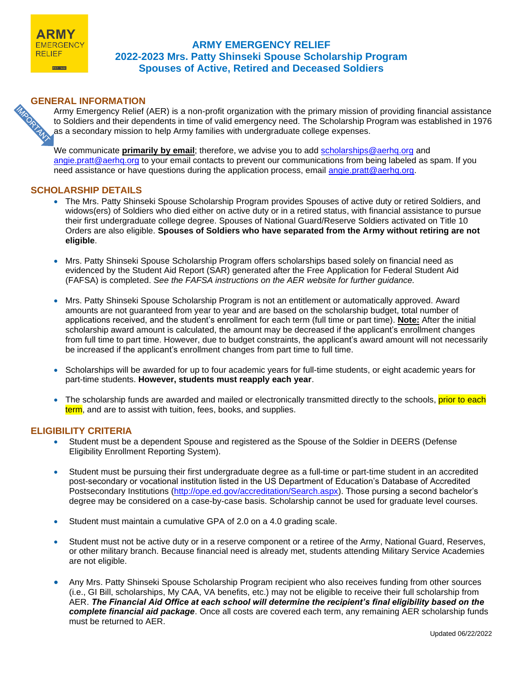

# **ARMY EMERGENCY RELIEF 2022-2023 Mrs. Patty Shinseki Spouse Scholarship Program Spouses of Active, Retired and Deceased Soldiers**

**GENERAL INFORMATION**<br>Army Emergency Relief<br>to Soldiers and their dependence of the condary mission to Army Emergency Relief (AER) is a non-profit organization with the primary mission of providing financial assistance to Soldiers and their dependents in time of valid emergency need. The Scholarship Program was established in 1976 as a secondary mission to help Army families with undergraduate college expenses.

We communicate **primarily by email**; therefore, we advise you to add [scholarships@aerhq.org](mailto:scholarships@aerhq.org) and [angie.pratt@aerhq.org](mailto:angie.pratt@aerhq.org) to your email contacts to prevent our communications from being labeled as spam. If you need assistance or have questions during the application process, email [angie.pratt@aerhq.org.](mailto:angie.pratt@aerhq.org)

# **SCHOLARSHIP DETAILS**

- The Mrs. Patty Shinseki Spouse Scholarship Program provides Spouses of active duty or retired Soldiers, and widows(ers) of Soldiers who died either on active duty or in a retired status, with financial assistance to pursue their first undergraduate college degree. Spouses of National Guard/Reserve Soldiers activated on Title 10 Orders are also eligible. **Spouses of Soldiers who have separated from the Army without retiring are not eligible**.
- Mrs. Patty Shinseki Spouse Scholarship Program offers scholarships based solely on financial need as evidenced by the Student Aid Report (SAR) generated after the Free Application for Federal Student Aid (FAFSA) is completed. *See the FAFSA instructions on the AER website for further guidance.*
- Mrs. Patty Shinseki Spouse Scholarship Program is not an entitlement or automatically approved. Award amounts are not guaranteed from year to year and are based on the scholarship budget, total number of applications received, and the student's enrollment for each term (full time or part time). **Note:** After the initial scholarship award amount is calculated, the amount may be decreased if the applicant's enrollment changes from full time to part time. However, due to budget constraints, the applicant's award amount will not necessarily be increased if the applicant's enrollment changes from part time to full time.
- Scholarships will be awarded for up to four academic years for full-time students, or eight academic years for part-time students. **However, students must reapply each year**.
- The scholarship funds are awarded and mailed or electronically transmitted directly to the schools, prior to each term, and are to assist with tuition, fees, books, and supplies.

## **ELIGIBILITY CRITERIA**

- Student must be a dependent Spouse and registered as the Spouse of the Soldier in DEERS (Defense Eligibility Enrollment Reporting System).
- Student must be pursuing their first undergraduate degree as a full-time or part-time student in an accredited post-secondary or vocational institution listed in the US Department of Education's Database of Accredited Postsecondary Institutions [\(http://ope.ed.gov/accreditation/Search.aspx\)](http://ope.ed.gov/accreditation/Search.aspx). Those pursing a second bachelor's degree may be considered on a case-by-case basis. Scholarship cannot be used for graduate level courses.
- Student must maintain a cumulative GPA of 2.0 on a 4.0 grading scale.
- Student must not be active duty or in a reserve component or a retiree of the Army, National Guard, Reserves, or other military branch. Because financial need is already met, students attending Military Service Academies are not eligible.
- Any Mrs. Patty Shinseki Spouse Scholarship Program recipient who also receives funding from other sources (i.e., GI Bill, scholarships, My CAA, VA benefits, etc.) may not be eligible to receive their full scholarship from AER. *The Financial Aid Office at each school will determine the recipient's final eligibility based on the complete financial aid package*. Once all costs are covered each term, any remaining AER scholarship funds must be returned to AER.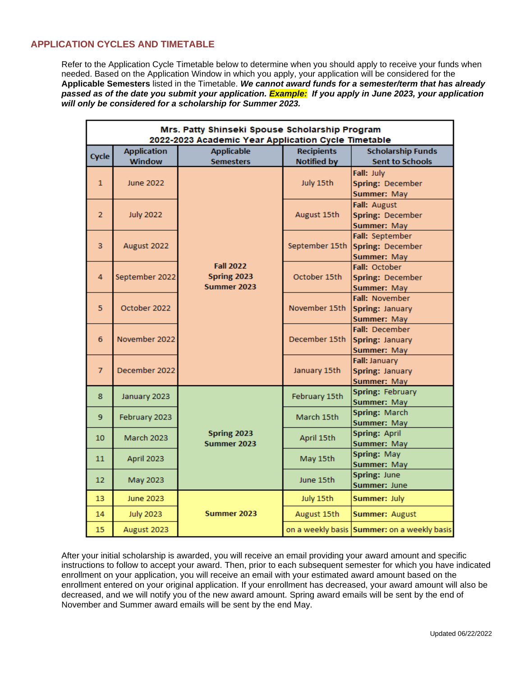# **APPLICATION CYCLES AND TIMETABLE**

Refer to the Application Cycle Timetable below to determine when you should apply to receive your funds when needed. Based on the Application Window in which you apply, your application will be considered for the **Applicable Semesters** listed in the Timetable. *We cannot award funds for a semester/term that has already passed as of the date you submit your application. Example: If you apply in June 2023, your application will only be considered for a scholarship for Summer 2023.*

| Mrs. Patty Shinseki Spouse Scholarship Program<br>2022-2023 Academic Year Application Cycle Timetable |                    |                                                |                    |                                                         |
|-------------------------------------------------------------------------------------------------------|--------------------|------------------------------------------------|--------------------|---------------------------------------------------------|
| <b>Cycle</b>                                                                                          | <b>Application</b> | <b>Applicable</b>                              | <b>Recipients</b>  | <b>Scholarship Funds</b>                                |
|                                                                                                       | <b>Window</b>      | <b>Semesters</b>                               | <b>Notified by</b> | <b>Sent to Schools</b>                                  |
| $\mathbf{1}$                                                                                          | <b>June 2022</b>   | <b>Fall 2022</b><br>Spring 2023<br>Summer 2023 | July 15th          | Fall: July<br>Spring: December<br>Summer: May           |
| $\overline{2}$                                                                                        | <b>July 2022</b>   |                                                | August 15th        | Fall: August<br>Spring: December<br>Summer: May         |
| 3                                                                                                     | August 2022        |                                                | September 15th     | Fall: September<br>Spring: December<br>Summer: May      |
| 4                                                                                                     | September 2022     |                                                | October 15th       | Fall: October<br>Spring: December<br><b>Summer: May</b> |
| 5                                                                                                     | October 2022       |                                                | November 15th      | Fall: November<br>Spring: January<br>Summer: May        |
| 6                                                                                                     | November 2022      |                                                | December 15th      | Fall: December<br>Spring: January<br><b>Summer: May</b> |
| $\overline{7}$                                                                                        | December 2022      |                                                | January 15th       | Fall: January<br>Spring: January<br><b>Summer: May</b>  |
| 8                                                                                                     | January 2023       | Spring 2023<br>Summer 2023                     | February 15th      | Spring: February<br>Summer: May                         |
| 9                                                                                                     | February 2023      |                                                | March 15th         | Spring: March<br><b>Summer: May</b>                     |
| 10                                                                                                    | March 2023         |                                                | April 15th         | Spring: April<br>Summer: May                            |
| 11                                                                                                    | April 2023         |                                                | May 15th           | Spring: May<br>Summer: May                              |
| 12                                                                                                    | May 2023           |                                                | June 15th          | Spring: June<br>Summer: June                            |
| 13                                                                                                    | June 2023          | Summer 2023                                    | July 15th          | Summer: July                                            |
| 14                                                                                                    | <b>July 2023</b>   |                                                | August 15th        | <b>Summer: August</b>                                   |
| 15                                                                                                    | August 2023        |                                                |                    | on a weekly basis Summer: on a weekly basis             |

After your initial scholarship is awarded, you will receive an email providing your award amount and specific instructions to follow to accept your award. Then, prior to each subsequent semester for which you have indicated enrollment on your application, you will receive an email with your estimated award amount based on the enrollment entered on your original application. If your enrollment has decreased, your award amount will also be decreased, and we will notify you of the new award amount. Spring award emails will be sent by the end of November and Summer award emails will be sent by the end May.